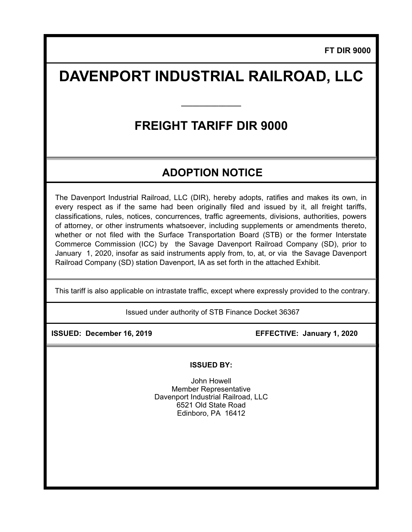**FT DIR 9000**

# **DAVENPORT INDUSTRIAL RAILROAD, LLC**

## **FREIGHT TARIFF DIR 9000**

**\_\_\_\_\_\_\_\_\_\_\_\_\_\_\_\_** 

### **ADOPTION NOTICE**

The Davenport Industrial Railroad, LLC (DIR), hereby adopts, ratifies and makes its own, in every respect as if the same had been originally filed and issued by it, all freight tariffs, classifications, rules, notices, concurrences, traffic agreements, divisions, authorities, powers of attorney, or other instruments whatsoever, including supplements or amendments thereto, whether or not filed with the Surface Transportation Board (STB) or the former Interstate Commerce Commission (ICC) by the Savage Davenport Railroad Company (SD), prior to January 1, 2020, insofar as said instruments apply from, to, at, or via the Savage Davenport Railroad Company (SD) station Davenport, IA as set forth in the attached Exhibit.

This tariff is also applicable on intrastate traffic, except where expressly provided to the contrary.

Issued under authority of STB Finance Docket 36367

 **ISSUED: December 16, 2019 EFFECTIVE: January 1, 2020** 

#### **ISSUED BY:**

John Howell Member Representative Davenport Industrial Railroad, LLC 6521 Old State Road Edinboro, PA 16412